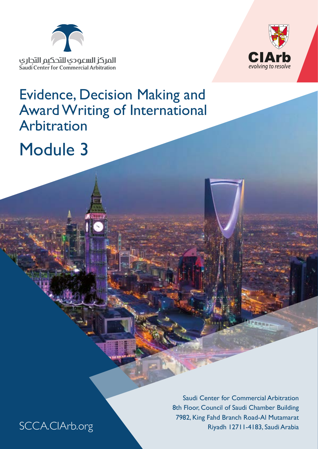



# Evidence, Decision Making and Award Writing of International Arbitration

# Module 3

Saudi Center for Commercial Arbitration 8th Floor, Council of Saudi Chamber Building 7982, King Fahd Branch Road-Al Mutamarat Riyadh 12711-4183, Saudi Arabia

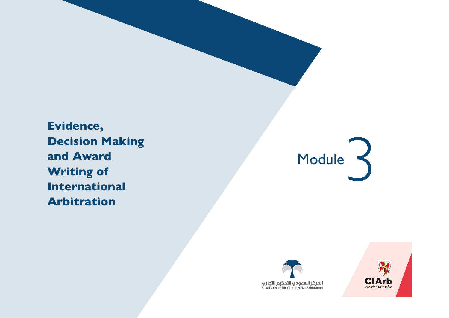







**Evidence, Decision Making and Award Writing of International Arbitration**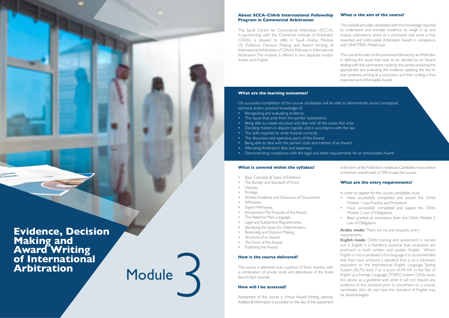

**Making and Award Writing of International Arbitration**

Module  $\prec$ 

### **About SCCA-CIArb International Fellowship Program in Commercial Arbitration**

The Saudi Center for Commercial Arbitration (SCCA), in partnership with the Chartered Institute of Arbitrator (CIArb), is pleased to offer, in Saudi Arabia, Module (3) Evidence, Decision Making and Award Writing of International Arbitration of CIArb's Pathway in International Arbitration. The module is offered in two separate modes: Arabic and English.

- Basic Concepts & Types of Evidence.
- The Burden and Standard of Proof;
- Hearsay.
- Privilege.
- Written Evidence and Disclosure of Documents.
- Witnesses.
- **Expert Witnesses.**
- Introduction: The Purpose of the Award.
- The Need for Plain Language;
- Legal and Substantive Requirements;
- Identifying the Issues for Determination.
- Reasoning and Decision Making.
- Structure of an Award.
- The Form of the Award.
- Publishing the Award.

### **What is covered within the syllabus?**

Arabic mode: There are no pre-requisite, entry requirements.

### **How is the course delivered?**

The course is delivered over a period of three months, with a combination of private study and attendance of the three face-to-face tutorials.

### **How will I be assessed?**

Assessment of this course is 4-hour Award Writing exercise. Additional information is provided on the day of the assessment in the form of the Arbitrator's notebook. Candidates must achieve a minimum overall mark of 70% to pass the course.

### **What are the entry requirements?**

In order to register for the course, candidates must:

- Have successfully completed and passed the CIArb Module 1 Law, Practice and Procedure
- Have successfully completed and passed the CIArb Module 2 Law of Obligations
- Been granted an exemption from the CIArb Module 2 Law of Obligations
- Recognising and evaluating evidence;
- The issues that arise from the parties' submissions;
- Being able to create structure and deal with all the issues that arise.
- Deciding matters in dispute logically and in accordance with the law.
- The skills required to write Awards correctly.
- The discursive and operative parts of the Award;
- Being able to deal with the parties' costs and interest of an Award
- Allocating Arbitrator's fees and expenses;
- Demonstrating compliance with the legal and other requirements for an enforceable Award

**English mode:** CIArb training and assessment is carried out in English it is therefore essential that candidates are proficient in both written and spoken English. Where English is not a candidate's first language it is recommended that they have achieved a standard that is, as a minimum, equivalent to the International English Language Testing System (IELTS) level 7 or a score of 94-101 in the Test of English as a Foreign Language (TOEFL) system. CIArb issues this advice as a guideline and, while it will not require any evidence of this standard prior to enrolment on a course, candidates who do not have this standard of English may be disadvantaged.

### **What is the aim of the course?**

This module provides candidates with the knowledge required to understand and consider evidence, to weigh it up and analyse submissions, arrive at a conclusion and write a final, reasoned and enforceable Arbitration Award in compliance with UNCITRAL Model Law.

This course focuses on the processes followed by an Arbitrator in defining the issues that have to be decided by an Award, dealing with the submissions made by the parties, analysing the appropriate law, evaluating the evidence, applying the law to that evidence, arriving at a conclusion and then writing a final, reasoned and enforceable Award.

### **What are the learning outcomes?**

On successful completion of this course candidates, will be able to demonstrate sound conceptual, technical and/or practical knowledge of: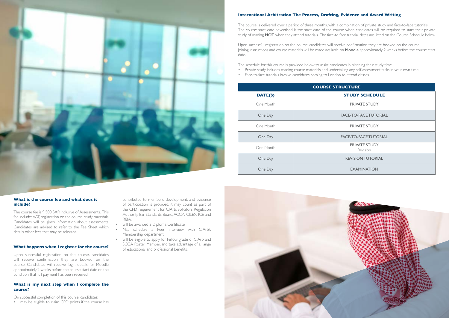### **What is the course fee and what does it include?**

The course fee is 9,500 SAR inclusive of Assessments. This fee includes VAT, registration on the course, study materials. Candidates will be given information about assessments. Candidates are advised to refer to the Fee Sheet which details other fees that may be relevant.

### **What happens when I register for the course?**

Upon successful registration on the course, candidates will receive confirmation they are booked on the course. Candidates will receive login details for Moodle approximately 2 weeks before the course start date on the condition that full payment has been received.

- will be awarded a Diploma Certificate
- May schedule a Peer Interview with CIArb's Membership department
- will be eligible to apply for Fellow grade of CIArb and SCCA Roster Member, and take advantage of a range of educational and professional benefits.



**RUCTURE STUDY SCHEDULE** PRIVATE STUDY FACE-TO-FACE TUTORIAL PRIVATE STUDY FACE-TO-FACE TUTORIAL PRIVATE STUDY Revision **REVISION TUTORIAL EXAMINATION** 

### **What is my next step when I complete the course?**

On successful completion of this course, candidates:

• may be eligible to claim CPD points if the course has

contributed to members' development, and evidence of participation is provided, it may count as part of the CPD requirement for CIArb, Solicitors Regulation Authority, Bar Standards Board, ACCA, CILEX, ICE and RIBA;



### **International Arbitration The Process, Drafting, Evidence and Award Writing**

The course is delivered over a period of three months, with a combination of private study and face-to-face tutorials. The course start date advertised is the start date of the course when candidates will be required to start their private study of reading **NOT** when they attend tutorials. The face-to face tutorial dates are listed on the Course Schedule below.

Upon successful registration on the course, candidates will receive confirmation they are booked on the course. Joining instructions and course materials will be made available on **Moodle** approximately 2 weeks before the course start date.

The schedule for this course is provided below to assist candidates in planning their study time. • Private study includes reading course materials and undertaking any self-assessment tasks in your own time.

- 
- Face-to-face tutorials involve candidates coming to London to attend classes.

|           | <b>COURSE STI</b> |
|-----------|-------------------|
| DATE(S)   |                   |
| One Month |                   |
| One Day   |                   |
| One Month |                   |
| One Day   |                   |
| One Month |                   |
| One Day   |                   |
| One Day   |                   |